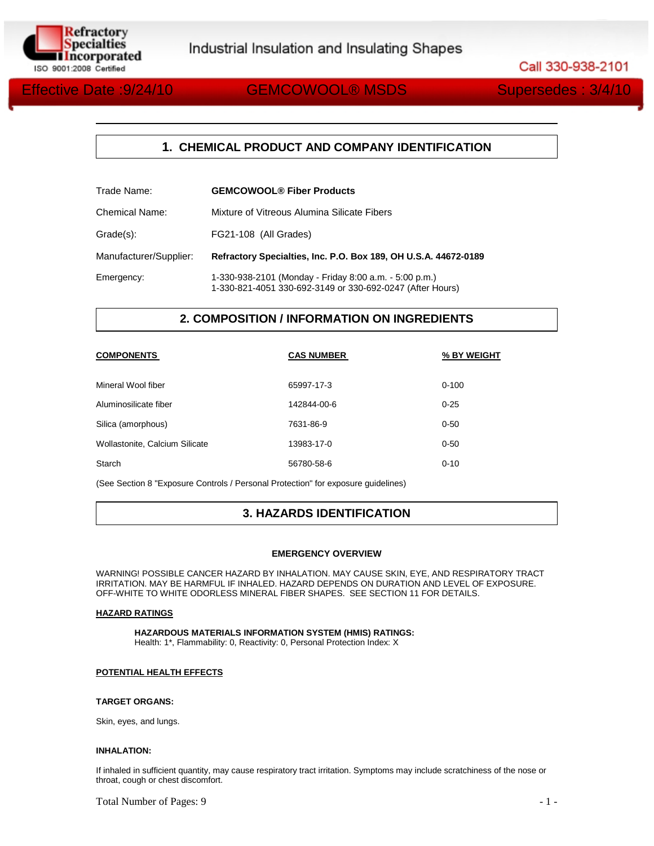

Call 330-938-2101

# Effective Date :9/24/10 GEMCOWOOL® MSDS Supersedes : 3/4/10

## **1. CHEMICAL PRODUCT AND COMPANY IDENTIFICATION**

| Trade Name:            | <b>GEMCOWOOL® Fiber Products</b>                                                                                    |
|------------------------|---------------------------------------------------------------------------------------------------------------------|
| <b>Chemical Name:</b>  | Mixture of Vitreous Alumina Silicate Fibers                                                                         |
| Grade(s):              | FG21-108 (All Grades)                                                                                               |
| Manufacturer/Supplier: | Refractory Specialties, Inc. P.O. Box 189, OH U.S.A. 44672-0189                                                     |
| Emergency:             | 1-330-938-2101 (Monday - Friday 8:00 a.m. - 5:00 p.m.)<br>1-330-821-4051 330-692-3149 or 330-692-0247 (After Hours) |

## **2. COMPOSITION / INFORMATION ON INGREDIENTS**

| <b>COMPONENTS</b>              | <b>CAS NUMBER</b> | % BY WEIGHT |
|--------------------------------|-------------------|-------------|
| Mineral Wool fiber             | 65997-17-3        | $0 - 100$   |
| Aluminosilicate fiber          | 142844-00-6       | $0 - 25$    |
| Silica (amorphous)             | 7631-86-9         | $0 - 50$    |
| Wollastonite, Calcium Silicate | 13983-17-0        | $0 - 50$    |
| Starch                         | 56780-58-6        | $0 - 10$    |

(See Section 8 "Exposure Controls / Personal Protection" for exposure guidelines)

## **3. HAZARDS IDENTIFICATION**

#### **EMERGENCY OVERVIEW**

WARNING! POSSIBLE CANCER HAZARD BY INHALATION. MAY CAUSE SKIN, EYE, AND RESPIRATORY TRACT IRRITATION. MAY BE HARMFUL IF INHALED. HAZARD DEPENDS ON DURATION AND LEVEL OF EXPOSURE. OFF-WHITE TO WHITE ODORLESS MINERAL FIBER SHAPES. SEE SECTION 11 FOR DETAILS.

#### **HAZARD RATINGS**

**HAZARDOUS MATERIALS INFORMATION SYSTEM (HMIS) RATINGS:**  Health: 1\*, Flammability: 0, Reactivity: 0, Personal Protection Index: X

#### **POTENTIAL HEALTH EFFECTS**

#### **TARGET ORGANS:**

Skin, eyes, and lungs.

#### **INHALATION:**

If inhaled in sufficient quantity, may cause respiratory tract irritation. Symptoms may include scratchiness of the nose or throat, cough or chest discomfort.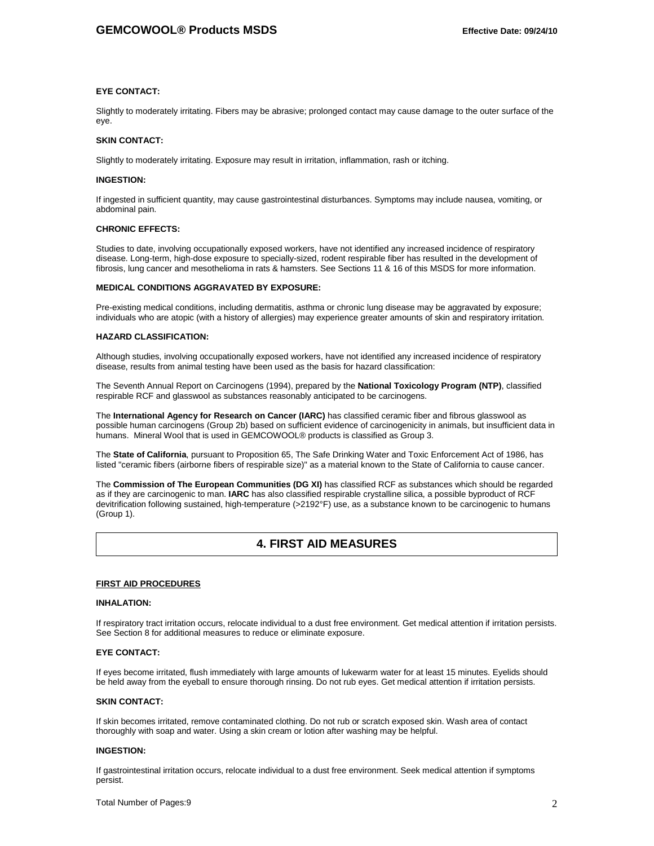#### **EYE CONTACT:**

Slightly to moderately irritating. Fibers may be abrasive; prolonged contact may cause damage to the outer surface of the eye.

#### **SKIN CONTACT:**

Slightly to moderately irritating. Exposure may result in irritation, inflammation, rash or itching.

#### **INGESTION:**

If ingested in sufficient quantity, may cause gastrointestinal disturbances. Symptoms may include nausea, vomiting, or abdominal pain.

#### **CHRONIC EFFECTS:**

Studies to date, involving occupationally exposed workers, have not identified any increased incidence of respiratory disease. Long-term, high-dose exposure to specially-sized, rodent respirable fiber has resulted in the development of fibrosis, lung cancer and mesothelioma in rats & hamsters. See Sections 11 & 16 of this MSDS for more information.

#### **MEDICAL CONDITIONS AGGRAVATED BY EXPOSURE:**

Pre-existing medical conditions, including dermatitis, asthma or chronic lung disease may be aggravated by exposure; individuals who are atopic (with a history of allergies) may experience greater amounts of skin and respiratory irritation.

#### **HAZARD CLASSIFICATION:**

Although studies, involving occupationally exposed workers, have not identified any increased incidence of respiratory disease, results from animal testing have been used as the basis for hazard classification:

The Seventh Annual Report on Carcinogens (1994), prepared by the **National Toxicology Program (NTP)**, classified respirable RCF and glasswool as substances reasonably anticipated to be carcinogens.

The **International Agency for Research on Cancer (IARC)** has classified ceramic fiber and fibrous glasswool as possible human carcinogens (Group 2b) based on sufficient evidence of carcinogenicity in animals, but insufficient data in humans. Mineral Wool that is used in GEMCOWOOL® products is classified as Group 3.

The **State of California**, pursuant to Proposition 65, The Safe Drinking Water and Toxic Enforcement Act of 1986, has listed "ceramic fibers (airborne fibers of respirable size)" as a material known to the State of California to cause cancer.

The **Commission of The European Communities (DG XI)** has classified RCF as substances which should be regarded as if they are carcinogenic to man. **IARC** has also classified respirable crystalline silica, a possible byproduct of RCF devitrification following sustained, high-temperature (>2192°F) use, as a substance known to be carcinogenic to humans (Group 1).

## **4. FIRST AID MEASURES**

#### **FIRST AID PROCEDURES**

#### **INHALATION:**

If respiratory tract irritation occurs, relocate individual to a dust free environment. Get medical attention if irritation persists. See Section 8 for additional measures to reduce or eliminate exposure.

#### **EYE CONTACT:**

If eyes become irritated, flush immediately with large amounts of lukewarm water for at least 15 minutes. Eyelids should be held away from the eyeball to ensure thorough rinsing. Do not rub eyes. Get medical attention if irritation persists.

#### **SKIN CONTACT:**

If skin becomes irritated, remove contaminated clothing. Do not rub or scratch exposed skin. Wash area of contact thoroughly with soap and water. Using a skin cream or lotion after washing may be helpful.

#### **INGESTION:**

If gastrointestinal irritation occurs, relocate individual to a dust free environment. Seek medical attention if symptoms persist.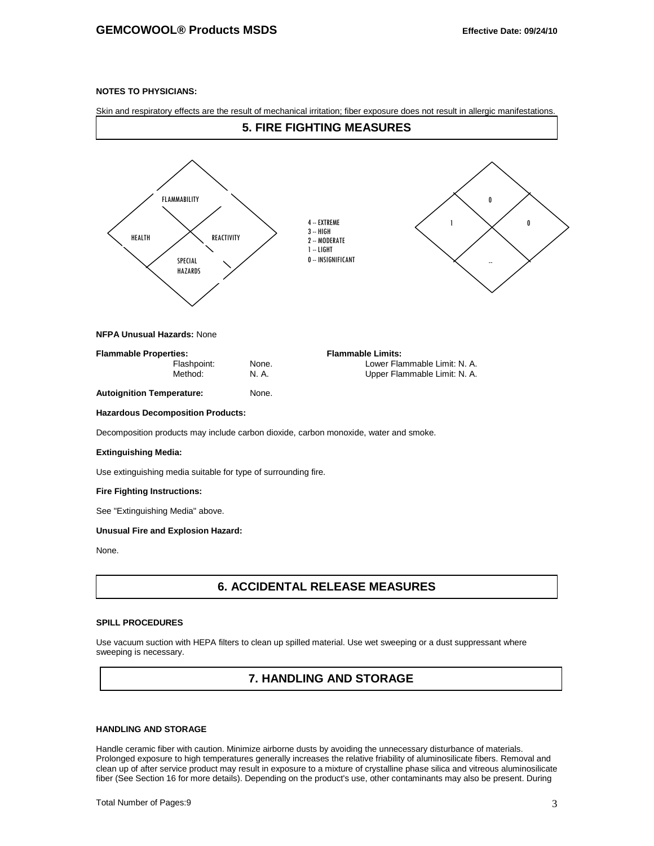### **NOTES TO PHYSICIANS:**

Skin and respiratory effects are the result of mechanical irritation; fiber exposure does not result in allergic manifestations.



## **7. HANDLING AND STORAGE**

## **HANDLING AND STORAGE**

Handle ceramic fiber with caution. Minimize airborne dusts by avoiding the unnecessary disturbance of materials. Prolonged exposure to high temperatures generally increases the relative friability of aluminosilicate fibers. Removal and clean up of after service product may result in exposure to a mixture of crystalline phase silica and vitreous aluminosilicate fiber (See Section 16 for more details). Depending on the product's use, other contaminants may also be present. During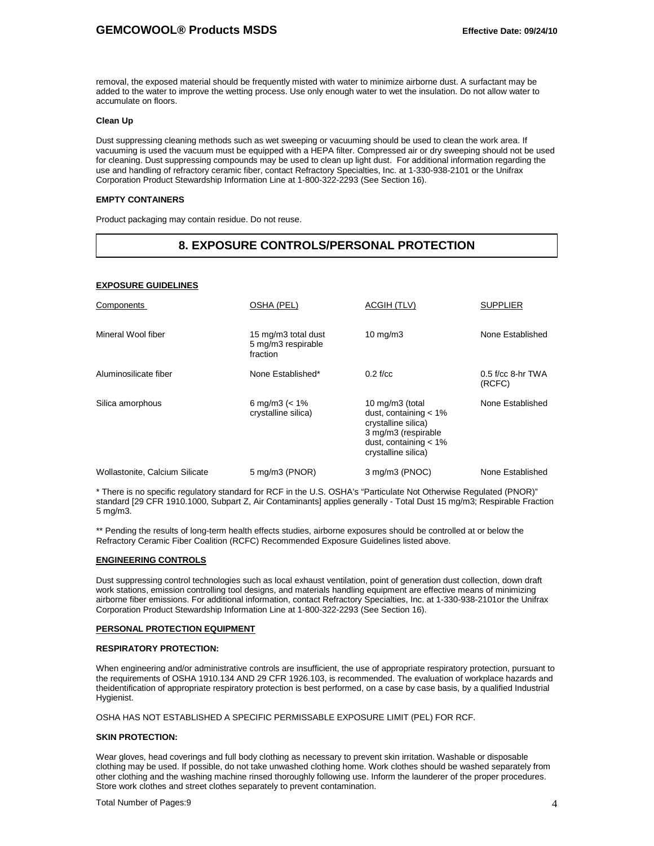removal, the exposed material should be frequently misted with water to minimize airborne dust. A surfactant may be added to the water to improve the wetting process. Use only enough water to wet the insulation. Do not allow water to accumulate on floors.

#### **Clean Up**

Dust suppressing cleaning methods such as wet sweeping or vacuuming should be used to clean the work area. If vacuuming is used the vacuum must be equipped with a HEPA filter. Compressed air or dry sweeping should not be used for cleaning. Dust suppressing compounds may be used to clean up light dust. For additional information regarding the use and handling of refractory ceramic fiber, contact Refractory Specialties, Inc. at 1-330-938-2101 or the Unifrax Corporation Product Stewardship Information Line at 1-800-322-2293 (See Section 16).

#### **EMPTY CONTAINERS**

Product packaging may contain residue. Do not reuse.

## **8. EXPOSURE CONTROLS/PERSONAL PROTECTION**

#### **EXPOSURE GUIDELINES**

| Components                     | OSHA (PEL)                                            | ACGIH (TLV)                                                                                                                                  | <b>SUPPLIER</b>               |
|--------------------------------|-------------------------------------------------------|----------------------------------------------------------------------------------------------------------------------------------------------|-------------------------------|
| Mineral Wool fiber             | 15 mg/m3 total dust<br>5 mg/m3 respirable<br>fraction | $10 \text{ mg/m}$                                                                                                                            | None Established              |
| Aluminosilicate fiber          | None Established*                                     | $0.2$ f/cc                                                                                                                                   | $0.5$ f/cc 8-hr TWA<br>(RCFC) |
| Silica amorphous               | 6 mg/m $3$ ( $< 1\%$ )<br>crystalline silica)         | 10 mg/m3 (total<br>dust, containing $< 1\%$<br>crystalline silica)<br>3 mg/m3 (respirable<br>dust, containing $< 1\%$<br>crystalline silica) | None Established              |
| Wollastonite, Calcium Silicate | 5 mg/m3 (PNOR)                                        | 3 mg/m3 (PNOC)                                                                                                                               | None Established              |

\* There is no specific regulatory standard for RCF in the U.S. OSHA's "Particulate Not Otherwise Regulated (PNOR)" standard [29 CFR 1910.1000, Subpart Z, Air Contaminants] applies generally - Total Dust 15 mg/m3; Respirable Fraction 5 mg/m3.

\*\* Pending the results of long-term health effects studies, airborne exposures should be controlled at or below the Refractory Ceramic Fiber Coalition (RCFC) Recommended Exposure Guidelines listed above.

#### **ENGINEERING CONTROLS**

Dust suppressing control technologies such as local exhaust ventilation, point of generation dust collection, down draft work stations, emission controlling tool designs, and materials handling equipment are effective means of minimizing airborne fiber emissions. For additional information, contact Refractory Specialties, Inc. at 1-330-938-2101or the Unifrax Corporation Product Stewardship Information Line at 1-800-322-2293 (See Section 16).

#### **PERSONAL PROTECTION EQUIPMENT**

#### **RESPIRATORY PROTECTION:**

When engineering and/or administrative controls are insufficient, the use of appropriate respiratory protection, pursuant to the requirements of OSHA 1910.134 AND 29 CFR 1926.103, is recommended. The evaluation of workplace hazards and theidentification of appropriate respiratory protection is best performed, on a case by case basis, by a qualified Industrial Hygienist.

OSHA HAS NOT ESTABLISHED A SPECIFIC PERMISSABLE EXPOSURE LIMIT (PEL) FOR RCF.

#### **SKIN PROTECTION:**

Wear gloves, head coverings and full body clothing as necessary to prevent skin irritation. Washable or disposable clothing may be used. If possible, do not take unwashed clothing home. Work clothes should be washed separately from other clothing and the washing machine rinsed thoroughly following use. Inform the launderer of the proper procedures. Store work clothes and street clothes separately to prevent contamination.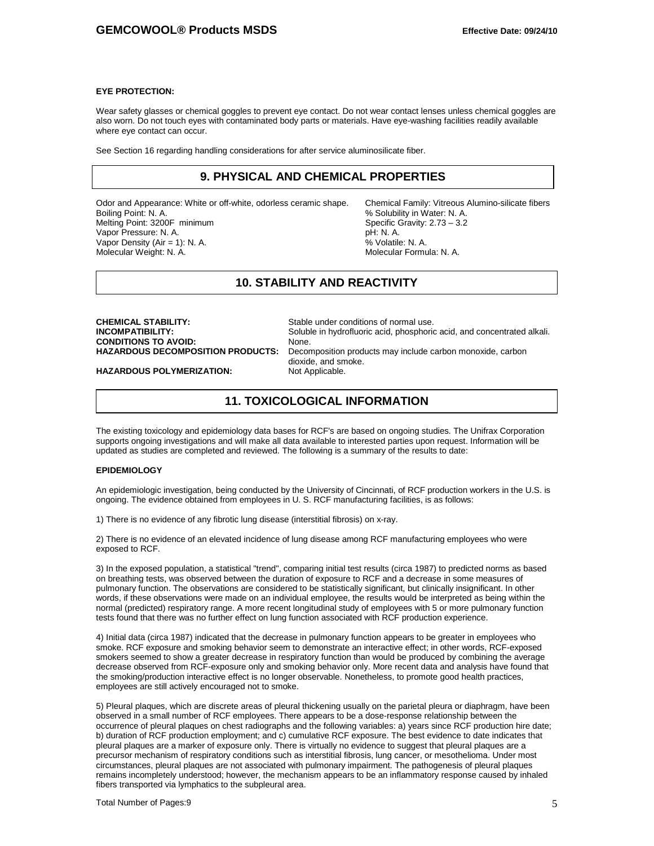#### **EYE PROTECTION:**

Wear safety glasses or chemical goggles to prevent eye contact. Do not wear contact lenses unless chemical goggles are also worn. Do not touch eyes with contaminated body parts or materials. Have eye-washing facilities readily available where eye contact can occur.

See Section 16 regarding handling considerations for after service aluminosilicate fiber.

## **9. PHYSICAL AND CHEMICAL PROPERTIES**

Odor and Appearance: White or off-white, odorless ceramic shape. Chemical Family: Vitreous Alumino-silicate fibers<br>Boiling Point: N. A.<br>% Solubility in Water: N. A. Melting Point: 3200F minimum Specific Gravity: 2.73 Specific Gravity: 2.73 – 3.23 Specific Gravity: 2.73 – 3.2<br>Vapor Pressure: N. A. Vapor Pressure: N. A. pH: N. A. pH: N. A. pH: N. A. pH: N. A. pH: N. A. pH: N. A. Vapor Density (Air = 1): N. A. (2008) (2008) (2008) (2018) (2018) (2018) (2018) (2018) (2018) (2018) (2018) (2<br>Molecular Weight: N. A. (2018) (2018) (2018) (2018) (2018) (2018) (2018) (2018) (2018) (2018) (2018) (2018) (2 Molecular Weight: N. A.

% Solubility in Water: N. A.<br>Specific Gravity: 2.73 - 3.2

## **10. STABILITY AND REACTIVITY**

**CHEMICAL STABILITY:** Stable under conditions of normal use.<br> **INCOMPATIBILITY:** Soluble in hydrofluoric acid. phosphoric **CONDITIONS TO AVOID:<br>HAZARDOUS DECOMPOSITION PRODUCTS:** 

Soluble in hydrofluoric acid, phosphoric acid, and concentrated alkali.<br>None. Decomposition products may include carbon monoxide, carbon dioxide, and smoke.<br>Not Applicable.

**HAZARDOUS POLYMERIZATION:** 

## **11. TOXICOLOGICAL INFORMATION**

The existing toxicology and epidemiology data bases for RCF's are based on ongoing studies. The Unifrax Corporation supports ongoing investigations and will make all data available to interested parties upon request. Information will be updated as studies are completed and reviewed. The following is a summary of the results to date:

#### **EPIDEMIOLOGY**

An epidemiologic investigation, being conducted by the University of Cincinnati, of RCF production workers in the U.S. is ongoing. The evidence obtained from employees in U. S. RCF manufacturing facilities, is as follows:

1) There is no evidence of any fibrotic lung disease (interstitial fibrosis) on x-ray.

2) There is no evidence of an elevated incidence of lung disease among RCF manufacturing employees who were exposed to RCF.

3) In the exposed population, a statistical "trend", comparing initial test results (circa 1987) to predicted norms as based on breathing tests, was observed between the duration of exposure to RCF and a decrease in some measures of pulmonary function. The observations are considered to be statistically significant, but clinically insignificant. In other words, if these observations were made on an individual employee, the results would be interpreted as being within the normal (predicted) respiratory range. A more recent longitudinal study of employees with 5 or more pulmonary function tests found that there was no further effect on lung function associated with RCF production experience.

4) Initial data (circa 1987) indicated that the decrease in pulmonary function appears to be greater in employees who smoke. RCF exposure and smoking behavior seem to demonstrate an interactive effect; in other words, RCF-exposed smokers seemed to show a greater decrease in respiratory function than would be produced by combining the average decrease observed from RCF-exposure only and smoking behavior only. More recent data and analysis have found that the smoking/production interactive effect is no longer observable. Nonetheless, to promote good health practices, employees are still actively encouraged not to smoke.

5) Pleural plaques, which are discrete areas of pleural thickening usually on the parietal pleura or diaphragm, have been observed in a small number of RCF employees. There appears to be a dose-response relationship between the occurrence of pleural plaques on chest radiographs and the following variables: a) years since RCF production hire date; b) duration of RCF production employment; and c) cumulative RCF exposure. The best evidence to date indicates that pleural plaques are a marker of exposure only. There is virtually no evidence to suggest that pleural plaques are a precursor mechanism of respiratory conditions such as interstitial fibrosis, lung cancer, or mesothelioma. Under most circumstances, pleural plaques are not associated with pulmonary impairment. The pathogenesis of pleural plaques remains incompletely understood; however, the mechanism appears to be an inflammatory response caused by inhaled fibers transported via lymphatics to the subpleural area.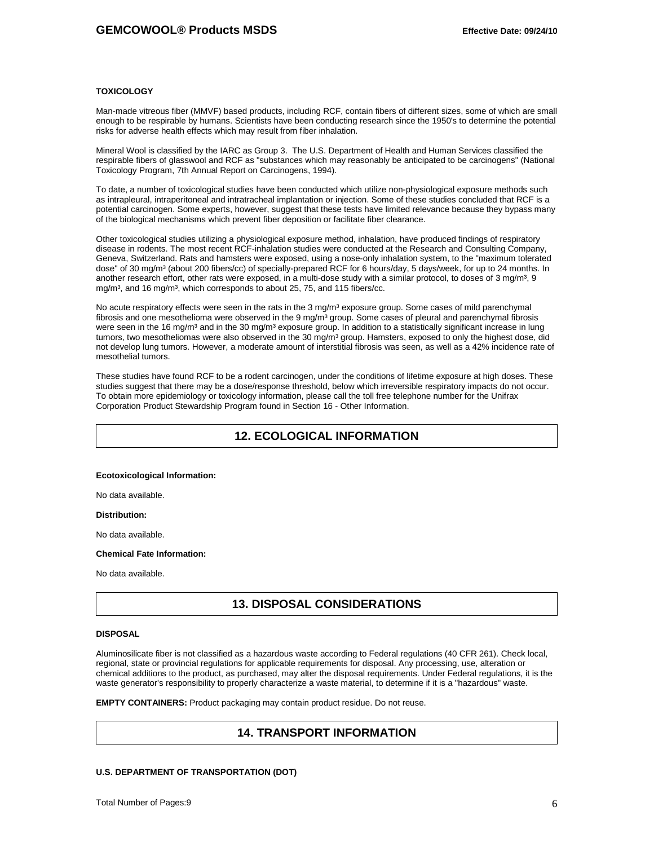#### **TOXICOLOGY**

Man-made vitreous fiber (MMVF) based products, including RCF, contain fibers of different sizes, some of which are small enough to be respirable by humans. Scientists have been conducting research since the 1950's to determine the potential risks for adverse health effects which may result from fiber inhalation.

Mineral Wool is classified by the IARC as Group 3. The U.S. Department of Health and Human Services classified the respirable fibers of glasswool and RCF as "substances which may reasonably be anticipated to be carcinogens" (National Toxicology Program, 7th Annual Report on Carcinogens, 1994).

To date, a number of toxicological studies have been conducted which utilize non-physiological exposure methods such as intrapleural, intraperitoneal and intratracheal implantation or injection. Some of these studies concluded that RCF is a potential carcinogen. Some experts, however, suggest that these tests have limited relevance because they bypass many of the biological mechanisms which prevent fiber deposition or facilitate fiber clearance.

Other toxicological studies utilizing a physiological exposure method, inhalation, have produced findings of respiratory disease in rodents. The most recent RCF-inhalation studies were conducted at the Research and Consulting Company, Geneva, Switzerland. Rats and hamsters were exposed, using a nose-only inhalation system, to the "maximum tolerated dose" of 30 mg/m<sup>3</sup> (about 200 fibers/cc) of specially-prepared RCF for 6 hours/day, 5 days/week, for up to 24 months. In another research effort, other rats were exposed, in a multi-dose study with a similar protocol, to doses of  $3$  mg/m $3$ ,  $9$ mg/m<sup>3</sup>, and 16 mg/m<sup>3</sup>, which corresponds to about 25, 75, and 115 fibers/cc.

No acute respiratory effects were seen in the rats in the 3 mg/m<sup>3</sup> exposure group. Some cases of mild parenchymal fibrosis and one mesothelioma were observed in the 9 mg/m $3$  group. Some cases of pleural and parenchymal fibrosis were seen in the 16 mg/m<sup>3</sup> and in the 30 mg/m<sup>3</sup> exposure group. In addition to a statistically significant increase in lung tumors, two mesotheliomas were also observed in the 30 mg/m<sup>3</sup> group. Hamsters, exposed to only the highest dose, did not develop lung tumors. However, a moderate amount of interstitial fibrosis was seen, as well as a 42% incidence rate of mesothelial tumors.

These studies have found RCF to be a rodent carcinogen, under the conditions of lifetime exposure at high doses. These studies suggest that there may be a dose/response threshold, below which irreversible respiratory impacts do not occur. To obtain more epidemiology or toxicology information, please call the toll free telephone number for the Unifrax Corporation Product Stewardship Program found in Section 16 - Other Information.

## **12. ECOLOGICAL INFORMATION**

#### **Ecotoxicological Information:**

No data available.

**Distribution:** 

No data available.

#### **Chemical Fate Information:**

No data available.

## **13. DISPOSAL CONSIDERATIONS**

#### **DISPOSAL**

Aluminosilicate fiber is not classified as a hazardous waste according to Federal regulations (40 CFR 261). Check local, regional, state or provincial regulations for applicable requirements for disposal. Any processing, use, alteration or chemical additions to the product, as purchased, may alter the disposal requirements. Under Federal regulations, it is the waste generator's responsibility to properly characterize a waste material, to determine if it is a "hazardous" waste.

**EMPTY CONTAINERS:** Product packaging may contain product residue. Do not reuse.

## **14. TRANSPORT INFORMATION**

#### **U.S. DEPARTMENT OF TRANSPORTATION (DOT)**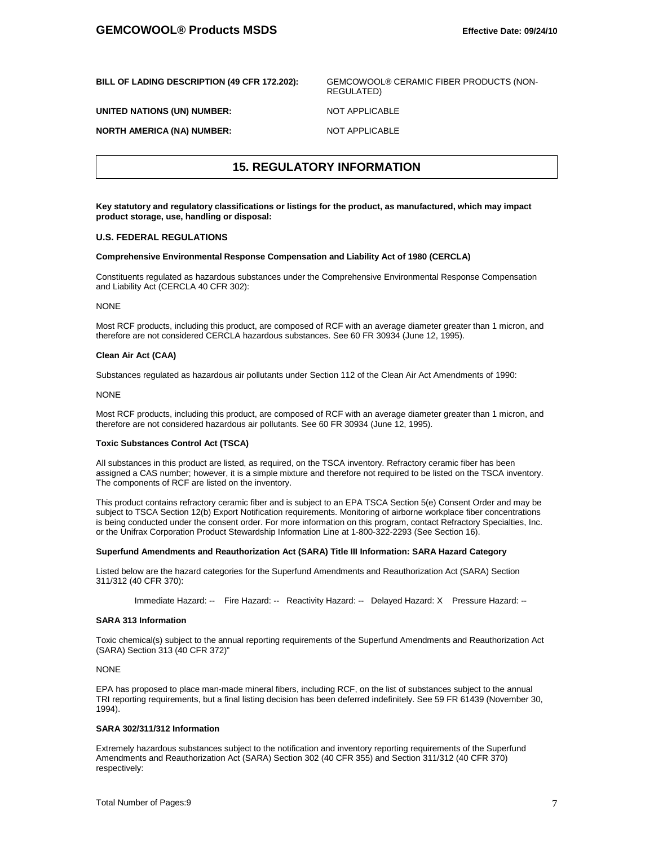| BILL OF LADING DESCRIPTION (49 CFR 172.202): | GEMCOWOOL® CERAMIC FIBER PRODUCTS (NON-<br>REGULATED) |
|----------------------------------------------|-------------------------------------------------------|
| UNITED NATIONS (UN) NUMBER:                  | NOT APPLICABLE                                        |
| <b>NORTH AMERICA (NA) NUMBER:</b>            | NOT APPLICABLE                                        |

## **15. REGULATORY INFORMATION**

**Key statutory and regulatory classifications or listings for the product, as manufactured, which may impact product storage, use, handling or disposal:**

#### **U.S. FEDERAL REGULATIONS**

#### **Comprehensive Environmental Response Compensation and Liability Act of 1980 (CERCLA)**

Constituents regulated as hazardous substances under the Comprehensive Environmental Response Compensation and Liability Act (CERCLA 40 CFR 302):

#### **NONE**

Most RCF products, including this product, are composed of RCF with an average diameter greater than 1 micron, and therefore are not considered CERCLA hazardous substances. See 60 FR 30934 (June 12, 1995).

#### **Clean Air Act (CAA)**

Substances regulated as hazardous air pollutants under Section 112 of the Clean Air Act Amendments of 1990:

#### NONE

Most RCF products, including this product, are composed of RCF with an average diameter greater than 1 micron, and therefore are not considered hazardous air pollutants. See 60 FR 30934 (June 12, 1995).

#### **Toxic Substances Control Act (TSCA)**

All substances in this product are listed, as required, on the TSCA inventory. Refractory ceramic fiber has been assigned a CAS number; however, it is a simple mixture and therefore not required to be listed on the TSCA inventory. The components of RCF are listed on the inventory.

This product contains refractory ceramic fiber and is subject to an EPA TSCA Section 5(e) Consent Order and may be subject to TSCA Section 12(b) Export Notification requirements. Monitoring of airborne workplace fiber concentrations is being conducted under the consent order. For more information on this program, contact Refractory Specialties, Inc. or the Unifrax Corporation Product Stewardship Information Line at 1-800-322-2293 (See Section 16).

#### **Superfund Amendments and Reauthorization Act (SARA) Title III Information: SARA Hazard Category**

Listed below are the hazard categories for the Superfund Amendments and Reauthorization Act (SARA) Section 311/312 (40 CFR 370):

Immediate Hazard: -- Fire Hazard: -- Reactivity Hazard: -- Delayed Hazard: X Pressure Hazard: --

#### **SARA 313 Information**

Toxic chemical(s) subject to the annual reporting requirements of the Superfund Amendments and Reauthorization Act (SARA) Section 313 (40 CFR 372)"

#### NONE

EPA has proposed to place man-made mineral fibers, including RCF, on the list of substances subject to the annual TRI reporting requirements, but a final listing decision has been deferred indefinitely. See 59 FR 61439 (November 30, 1994).

### **SARA 302/311/312 Information**

Extremely hazardous substances subject to the notification and inventory reporting requirements of the Superfund Amendments and Reauthorization Act (SARA) Section 302 (40 CFR 355) and Section 311/312 (40 CFR 370) respectively: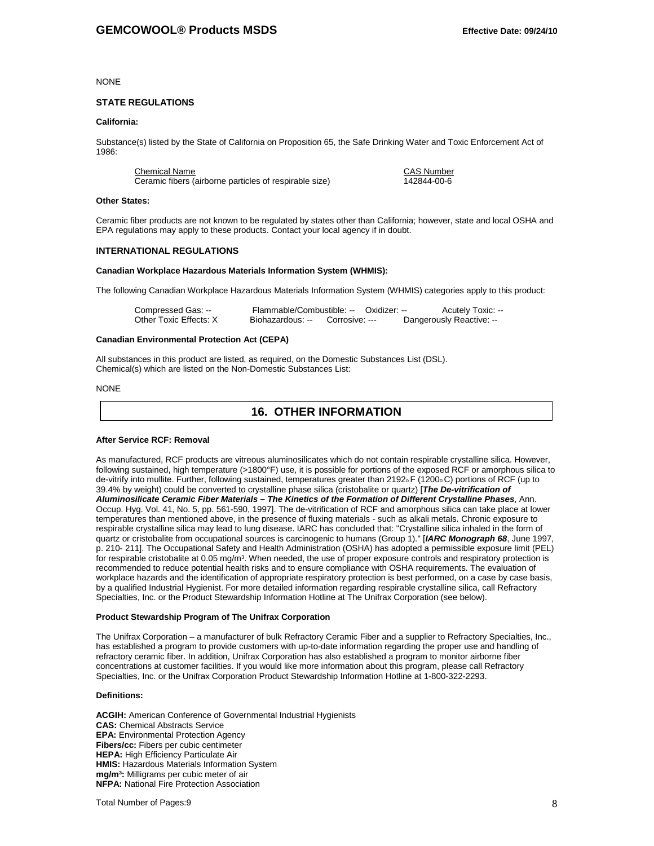NONE

#### **STATE REGULATIONS**

#### **California:**

Substance(s) listed by the State of California on Proposition 65, the Safe Drinking Water and Toxic Enforcement Act of 1986:

Chemical Name<br>
Ceramic fibers (airborne particles of respirable size)<br>
Ceramic fibers (airborne particles of respirable size)<br>
Ceramic fibers (airborne particles of respirable size) Ceramic fibers (airborne particles of respirable size)

#### **Other States:**

Ceramic fiber products are not known to be regulated by states other than California; however, state and local OSHA and EPA regulations may apply to these products. Contact your local agency if in doubt.

#### **INTERNATIONAL REGULATIONS**

#### **Canadian Workplace Hazardous Materials Information System (WHMIS):**

The following Canadian Workplace Hazardous Materials Information System (WHMIS) categories apply to this product:

| Compressed Gas: --     | Flammable/Combustible: -- Oxidizer: -- |                | <b>Acutely Toxic: --</b> |
|------------------------|----------------------------------------|----------------|--------------------------|
| Other Toxic Effects: X | Biohazardous: --                       | Corrosive: --- | Dangerously Reactive: -- |

#### **Canadian Environmental Protection Act (CEPA)**

All substances in this product are listed, as required, on the Domestic Substances List (DSL). Chemical(s) which are listed on the Non-Domestic Substances List:

#### NONE

## **16. OTHER INFORMATION**

#### **After Service RCF: Removal**

As manufactured, RCF products are vitreous aluminosilicates which do not contain respirable crystalline silica. However, following sustained, high temperature (>1800°F) use, it is possible for portions of the exposed RCF or amorphous silica to de-vitrify into mullite. Further, following sustained, temperatures greater than 2192<sub>0</sub> F (1200<sub>0</sub>C) portions of RCF (up to 39.4% by weight) could be converted to crystalline phase silica (cristobalite or quartz) [*The De-vitrification of Aluminosilicate Ceramic Fiber Materials – The Kinetics of the Formation of Different Crystalline Phases*, Ann. Occup. Hyg. Vol. 41, No. 5, pp. 561-590, 1997]. The de-vitrification of RCF and amorphous silica can take place at lower temperatures than mentioned above, in the presence of fluxing materials - such as alkali metals. Chronic exposure to respirable crystalline silica may lead to lung disease. IARC has concluded that: "Crystalline silica inhaled in the form of quartz or cristobalite from occupational sources is carcinogenic to humans (Group 1)." [*IARC Monograph 68*, June 1997, p. 210- 211]. The Occupational Safety and Health Administration (OSHA) has adopted a permissible exposure limit (PEL) for respirable cristobalite at 0.05 mg/m<sup>3</sup>. When needed, the use of proper exposure controls and respiratory protection is recommended to reduce potential health risks and to ensure compliance with OSHA requirements. The evaluation of workplace hazards and the identification of appropriate respiratory protection is best performed, on a case by case basis, by a qualified Industrial Hygienist. For more detailed information regarding respirable crystalline silica, call Refractory Specialties, Inc. or the Product Stewardship Information Hotline at The Unifrax Corporation (see below).

#### **Product Stewardship Program of The Unifrax Corporation**

The Unifrax Corporation – a manufacturer of bulk Refractory Ceramic Fiber and a supplier to Refractory Specialties, Inc., has established a program to provide customers with up-to-date information regarding the proper use and handling of refractory ceramic fiber. In addition, Unifrax Corporation has also established a program to monitor airborne fiber concentrations at customer facilities. If you would like more information about this program, please call Refractory Specialties, Inc. or the Unifrax Corporation Product Stewardship Information Hotline at 1-800-322-2293.

#### **Definitions:**

**ACGIH:** American Conference of Governmental Industrial Hygienists **CAS:** Chemical Abstracts Service **EPA:** Environmental Protection Agency **Fibers/cc:** Fibers per cubic centimeter **HEPA:** High Efficiency Particulate Air **HMIS:** Hazardous Materials Information System **mg/m³:** Milligrams per cubic meter of air **NFPA:** National Fire Protection Association